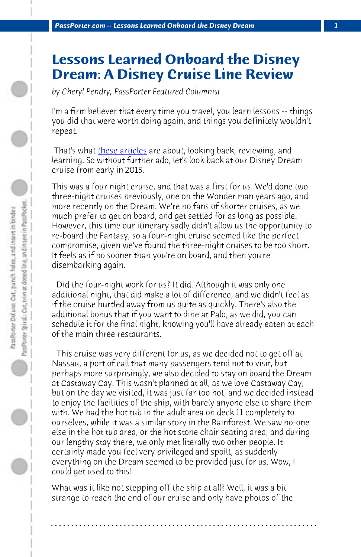*PassPorter.com -- Lessons Learned Onboard the Disney Dream 1*

## **Lessons Learned Onboard the Disney Dream: A Disney Cruise Line Review**

*by Cheryl Pendry, PassPorter Featured Columnist*

I'm a firm believer that every time you travel, you learn lessons -- things you did that were worth doing again, and things you definitely wouldn't repeat.

That's what these articles are about, looking back, reviewing, and learning. So without further ado, let's look back at our Disney Dream cruise from early in 2015.

This was a four night cruise, and that was a first for us. We'd done two three-night cruises previously, one on the Wonder man years ago, and more recently on the Dream. We're no fans of shorter cruises, as we much prefer to get on board, and get settled for as long as possible. However, this time our itinerary sadly didn't allow us the opportunity to re-board the Fantasy, so a four-night cruise seemed like the perfect compromise, given we've found the three-night cruises to be too short. It feels as if no sooner than you're on board, and then you're disembarking again.

 Did the four-night work for us? It did. Although it was only one additional night, that did make a lot of difference, and we didn't feel as if the cruise hurtled away from us quite as quickly. There's also the additional bonus that if you want to dine at Palo, as we did, you can schedule it for the final night, knowing you'll have already eaten at each of the main three restaurants.

 This cruise was very different for us, as we decided not to get off at Nassau, a port of call that many passengers tend not to visit, but perhaps more surprisingly, we also decided to stay on board the Dream at Castaway Cay. This wasn't planned at all, as we love Castaway Cay, but on the day we visited, it was just far too hot, and we decided instead to enjoy the facilities of the ship, with barely anyone else to share them with. We had the hot tub in the adult area on deck 11 completely to ourselves, while it was a similar story in the Rainforest. We saw no-one else in the hot tub area, or the hot stone chair seating area, and during our lengthy stay there, we only met literally two other people. It certainly made you feel very privileged and spoilt, as suddenly everything on the Dream seemed to be provided just for us. Wow, I could get used to this!

What was it like not stepping off the ship at all? Well, it was a bit strange to reach the end of our cruise and only have photos of the

**. . . . . . . . . . . . . . . . . . . . . . . . . . . . . . . . . . . . . . . . . . . . . . . . . . . . . . . . . . . . . . . . . .**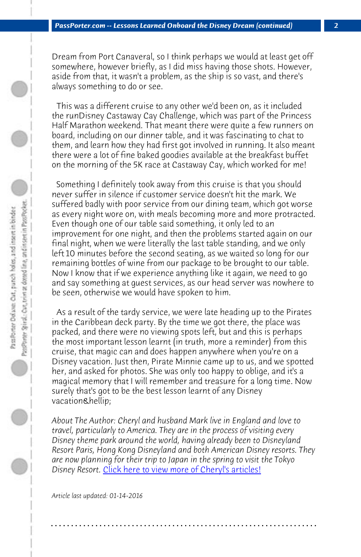*PassPorter.com -- Lessons Learned Onboard the Disney Dream (continued) 2*

Dream from Port Canaveral, so I think perhaps we would at least get off somewhere, however briefly, as I did miss having those shots. However, aside from that, it wasn't a problem, as the ship is so vast, and there's always something to do or see.

 This was a different cruise to any other we'd been on, as it included the runDisney Castaway Cay Challenge, which was part of the Princess Half Marathon weekend. That meant there were quite a few runners on board, including on our dinner table, and it was fascinating to chat to them, and learn how they had first got involved in running. It also meant there were a lot of fine baked goodies available at the breakfast buffet on the morning of the 5K race at Castaway Cay, which worked for me!

 Something I definitely took away from this cruise is that you should never suffer in silence if customer service doesn't hit the mark. We suffered badly with poor service from our dining team, which got worse as every night wore on, with meals becoming more and more protracted. Even though one of our table said something, it only led to an improvement for one night, and then the problems started again on our final night, when we were literally the last table standing, and we only left 10 minutes before the second seating, as we waited so long for our remaining bottles of wine from our package to be brought to our table. Now I know that if we experience anything like it again, we need to go and say something at guest services, as our head server was nowhere to be seen, otherwise we would have spoken to him.

 As a result o[f the tardy service, we were late heading up](http://www.passporter.com/articles/cheryl-pendry-featured-columnist.asp) to the Pirates in the Caribbean deck party. By the time we got there, the place was packed, and there were no viewing spots left, but and this is perhaps the most important lesson learnt (in truth, more a reminder) from this cruise, that magic can and does happen anywhere when you're on a Disney vacation. Just then, Pirate Minnie came up to us, and we spotted her, and asked for photos. She was only too happy to oblige, and it's a magical memory that I will remember and treasure for a long time. Now surely that's got to be the best lesson learnt of any Disney vacation…

*About The Author: Cheryl and husband Mark live in England and love to travel, particularly to America. They are in the process of visiting every Disney theme park around the world, having already been to Disneyland Resort Paris, Hong Kong Disneyland and both American Disney resorts. They are now planning for their trip to Japan in the spring to visit the Tokyo* Disney Resort. *Click here to view more of Cheryl's articles!* 

**. . . . . . . . . . . . . . . . . . . . . . . . . . . . . . . . . . . . . . . . . . . . . . . . . . . . . . . . . . . . . . . . . .**

*Article last updated: 01-14-2016*